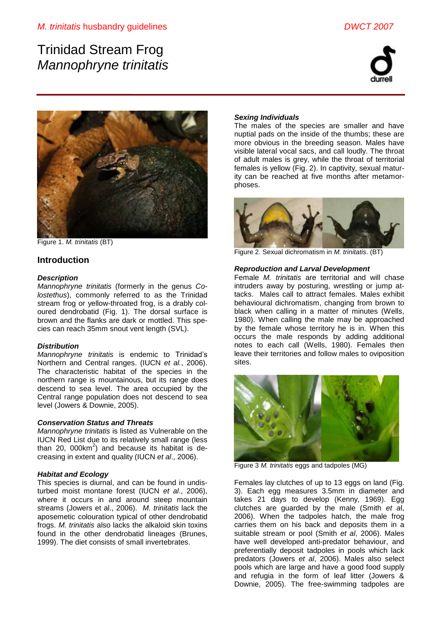# Trinidad Stream Frog *Mannophryne trinitatis*





Figure 1. *M. trinitatis* (BT)

# **Introduction**

## *Description*

*Mannophryne trinitatis* (formerly in the genus *Colostethus*), commonly referred to as the Trinidad stream frog or yellow-throated frog, is a drably coloured dendrobatid (Fig. 1). The dorsal surface is brown and the flanks are dark or mottled. This species can reach 35mm snout vent length (SVL).

## *Distribution*

*Mannophryne trinitatis* is endemic to Trinidad's Northern and Central ranges. (IUCN *et al.*, 2006). The characteristic habitat of the species in the northern range is mountainous, but its range does descend to sea level. The area occupied by the Central range population does not descend to sea level (Jowers & Downie, 2005).

## *Conservation Status and Threats*

*Mannophryne trinitatis* is listed as Vulnerable on the IUCN Red List due to its relatively small range (less than 20, 000 $km^2$ ) and because its habitat is decreasing in extent and quality (IUCN *et al*., 2006).

## *Habitat and Ecology*

This species is diurnal, and can be found in undisturbed moist montane forest (IUCN *et al*., 2006), where it occurs in and around steep mountain streams (Jowers et al., 2006). *M. trinitatis* lack the aposemetic colouration typical of other dendrobatid frogs. *M. trinitatis* also lacks the alkaloid skin toxins found in the other dendrobatid lineages (Brunes, 1999). The diet consists of small invertebrates.

## *Sexing Individuals*

The males of the species are smaller and have nuptial pads on the inside of the thumbs; these are more obvious in the breeding season. Males have visible lateral vocal sacs, and call loudly. The throat of adult males is grey, while the throat of territorial females is yellow (Fig. 2). In captivity, sexual maturity can be reached at five months after metamorphoses.



Figure 2. Sexual dichromatism in *M. trinitatis*. (BT)

## *Reproduction and Larval Development*

Female *M. trinitatis* are territorial and will chase intruders away by posturing, wrestling or jump attacks. Males call to attract females. Males exhibit behavioural dichromatism, changing from brown to black when calling in a matter of minutes (Wells, 1980). When calling the male may be approached by the female whose territory he is in. When this occurs the male responds by adding additional notes to each call (Wells, 1980). Females then leave their territories and follow males to oviposition sites.



Figure 3 *M. trinitatis* eggs and tadpoles (MG)

Females lay clutches of up to 13 eggs on land (Fig. 3). Each egg measures 3.5mm in diameter and takes 21 days to develop (Kenny, 1969). Egg clutches are guarded by the male (Smith *et a*l, 2006). When the tadpoles hatch, the male frog carries them on his back and deposits them in a suitable stream or pool (Smith *et al*, 2006). Males have well developed anti-predator behaviour, and preferentially deposit tadpoles in pools which lack predators (Jowers *et al*, 2006). Males also select pools which are large and have a good food supply and refugia in the form of leaf litter (Jowers & Downie, 2005). The free-swimming tadpoles are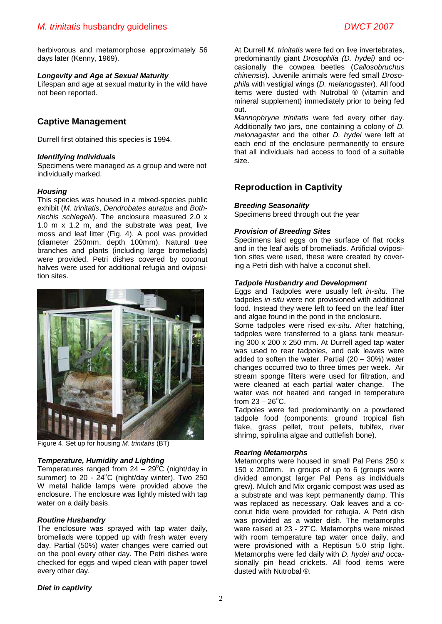herbivorous and metamorphose approximately 56 days later (Kenny, 1969).

## *Longevity and Age at Sexual Maturity*

Lifespan and age at sexual maturity in the wild have not been reported.

## **Captive Management**

Durrell first obtained this species is 1994.

## *Identifying Individuals*

Specimens were managed as a group and were not individually marked.

#### *Housing*

This species was housed in a mixed-species public exhibit (*M. trinitatis*, *Dendrobates auratus* and *Bothriechis schlegelii*). The enclosure measured 2.0 x 1.0 m x 1.2 m, and the substrate was peat, live moss and leaf litter (Fig. 4). A pool was provided (diameter 250mm, depth 100mm). Natural tree branches and plants (including large bromeliads) were provided. Petri dishes covered by coconut halves were used for additional refugia and oviposition sites.



Figure 4. Set up for housing *M. trinitatis* (BT)

## *Temperature, Humidity and Lighting*

Temperatures ranged from  $24 - 29^{\circ}$ C (night/day in summer) to  $20 - 24^{\circ}$ C (night/day winter). Two  $250$ W metal halide lamps were provided above the enclosure. The enclosure was lightly misted with tap water on a daily basis.

#### *Routine Husbandry*

The enclosure was sprayed with tap water daily, bromeliads were topped up with fresh water every day. Partial (50%) water changes were carried out on the pool every other day. The Petri dishes were checked for eggs and wiped clean with paper towel every other day.

At Durrell *M. trinitatis* were fed on live invertebrates, predominantly giant *Drosophila (D. hydei)* and occasionally the cowpea beetles (*Callosobruchus chinensis*). Juvenile animals were fed small *Drosophila* with vestigial wings (*D. melanogaster*). All food items were dusted with Nutrobal ® (vitamin and mineral supplement) immediately prior to being fed out.

*Mannophryne trinitatis* were fed every other day. Additionally two jars, one containing a colony of *D. melonagaster* and the other *D. hydei* were left at each end of the enclosure permanently to ensure that all individuals had access to food of a suitable size.

# **Reproduction in Captivity**

#### *Breeding Seasonality*

Specimens breed through out the year

#### *Provision of Breeding Sites*

Specimens laid eggs on the surface of flat rocks and in the leaf axils of bromeliads. Artificial oviposition sites were used, these were created by covering a Petri dish with halve a coconut shell.

#### *Tadpole Husbandry and Development*

Eggs and Tadpoles were usually left *in-situ*. The tadpoles *in-situ* were not provisioned with additional food. Instead they were left to feed on the leaf litter and algae found in the pond in the enclosure.

Some tadpoles were rised *ex-situ*. After hatching, tadpoles were transferred to a glass tank measuring 300 x 200 x 250 mm. At Durrell aged tap water was used to rear tadpoles, and oak leaves were added to soften the water. Partial  $(20 - 30%)$  water changes occurred two to three times per week. Air stream sponge filters were used for filtration, and were cleaned at each partial water change. The water was not heated and ranged in temperature from  $23 - 26^{\circ}$ C.

Tadpoles were fed predominantly on a powdered tadpole food (components: ground tropical fish flake, grass pellet, trout pellets, tubifex, river shrimp, spirulina algae and cuttlefish bone).

## *Rearing Metamorphs*

Metamorphs were housed in small Pal Pens 250 x 150 x 200mm. in groups of up to 6 (groups were divided amongst larger Pal Pens as individuals grew). Mulch and Mix organic compost was used as a substrate and was kept permanently damp. This was replaced as necessary. Oak leaves and a coconut hide were provided for refugia. A Petri dish was provided as a water dish. The metamorphs were raised at 23 - 27˚C. Metamorphs were misted with room temperature tap water once daily, and were provisioned with a Reptisun 5.0 strip light. Metamorphs were fed daily with *D. hydei and* occasionally pin head crickets*.* All food items were dusted with Nutrobal ®.